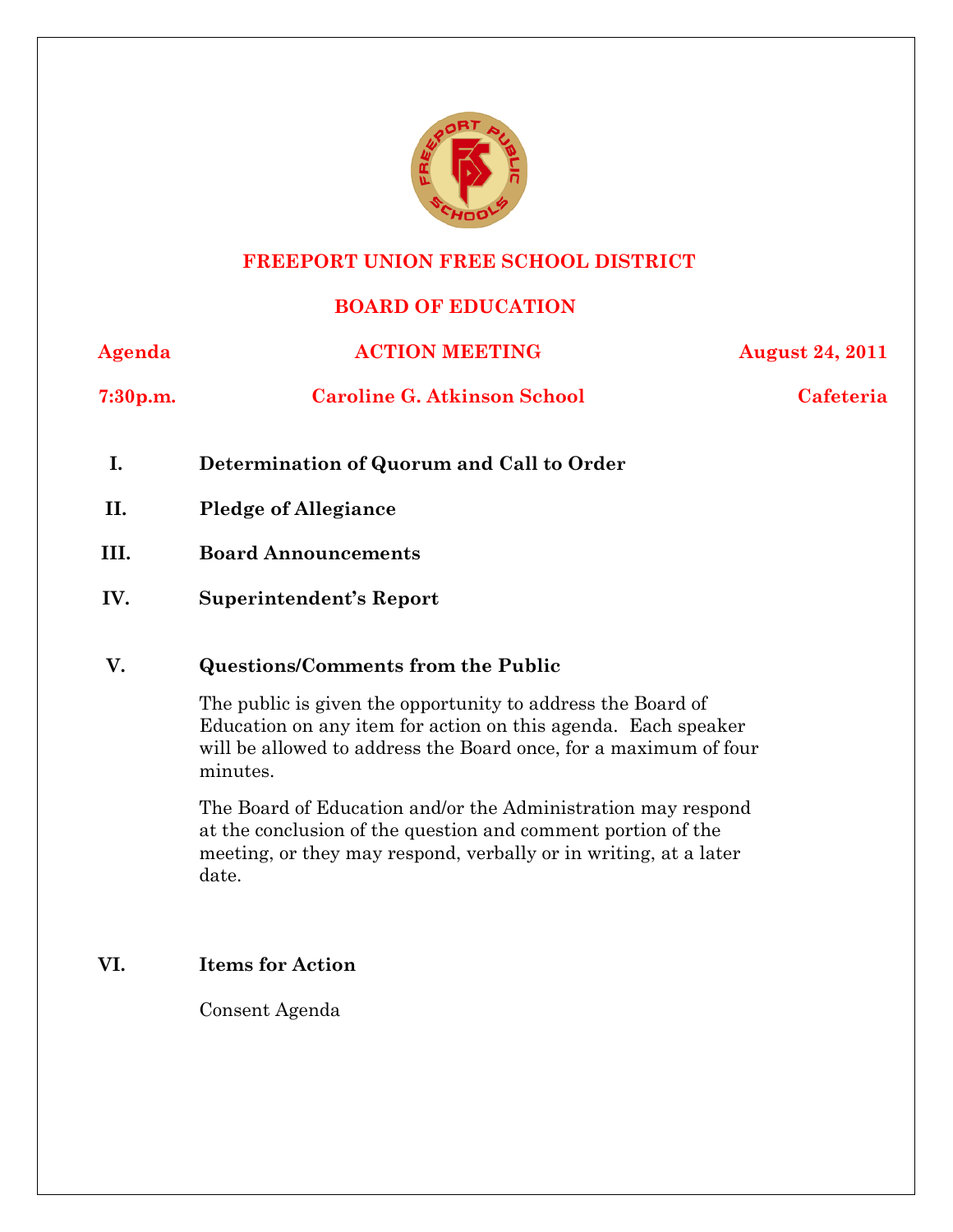

# **FREEPORT UNION FREE SCHOOL DISTRICT**

# **BOARD OF EDUCATION**

| Agenda               | <b>ACTION MEETING</b>              | <b>August 24, 2011</b> |
|----------------------|------------------------------------|------------------------|
| 7:30 <sub>p.m.</sub> | <b>Caroline G. Atkinson School</b> | Cafeteria              |

- **I. Determination of Quorum and Call to Order**
- **II. Pledge of Allegiance**
- **III. Board Announcements**
- **IV. Superintendent's Report**

# **V. Questions/Comments from the Public**

The public is given the opportunity to address the Board of Education on any item for action on this agenda. Each speaker will be allowed to address the Board once, for a maximum of four minutes.

The Board of Education and/or the Administration may respond at the conclusion of the question and comment portion of the meeting, or they may respond, verbally or in writing, at a later date.

# **VI. Items for Action**

Consent Agenda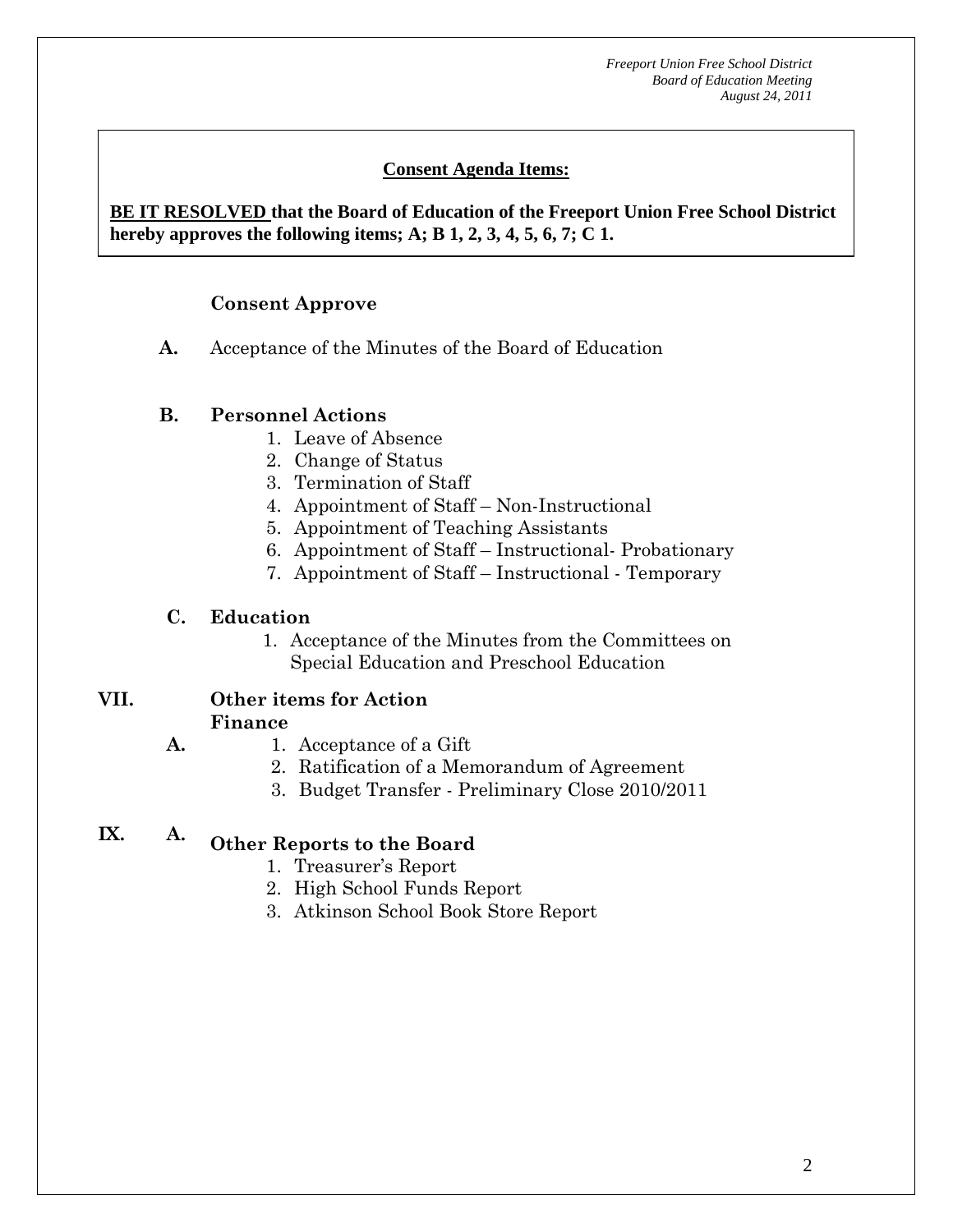*Freeport Union Free School District Board of Education Meeting August 24, 2011*

# **Consent Agenda Items:**

# **BE IT RESOLVED that the Board of Education of the Freeport Union Free School District hereby approves the following items; A; B 1, 2, 3, 4, 5, 6, 7; C 1.**

### **Consent Approve**

 *Acceptance of the Minutes*  $\mathbf{A}$ 

 **AA. Consent - Approve** 

**A.** Acceptance of the Minutes of the Board of Education

### **B. Personnel Actions**

- 1. Leave of Absence
- 2. Change of Status
- 3. Termination of Staff
- 4. Appointment of Staff Non-Instructional
- 5. Appointment of Teaching Assistants
- 6. Appointment of Staff Instructional- Probationary
- 7. Appointment of Staff Instructional Temporary

### **C. Education**

**A.** 

1. Acceptance of the Minutes from the Committees on Special Education and Preschool Education

#### **VII. Other items for Action Finance**

- 1. Acceptance of a Gift
	- 2. Ratification of a Memorandum of Agreement
	- 3. Budget Transfer Preliminary Close 2010/2011

# **IX. A. Other Reports to the Board**

- 1. Treasurer's Report
- 2. High School Funds Report
- 3. Atkinson School Book Store Report